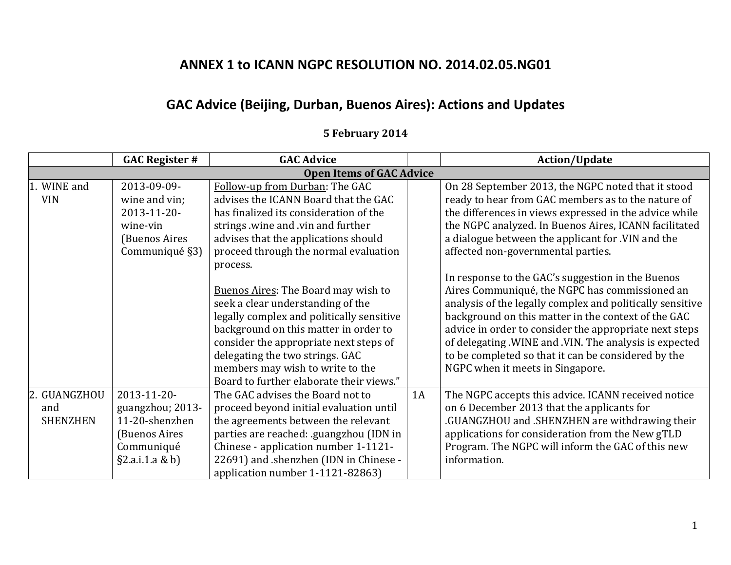## **ANNEX 1 to ICANN NGPC RESOLUTION NO. 2014.02.05.NG01**

## **GAC Advice (Beijing, Durban, Buenos Aires): Actions and Updates**

## **5 February 2014**

|                 | <b>GAC Register #</b> | <b>GAC Advice</b>                          |    | <b>Action/Update</b>                                      |
|-----------------|-----------------------|--------------------------------------------|----|-----------------------------------------------------------|
|                 |                       | <b>Open Items of GAC Advice</b>            |    |                                                           |
| WINE and        | 2013-09-09-           | Follow-up from Durban: The GAC             |    | On 28 September 2013, the NGPC noted that it stood        |
| <b>VIN</b>      | wine and vin;         | advises the ICANN Board that the GAC       |    | ready to hear from GAC members as to the nature of        |
|                 | 2013-11-20-           | has finalized its consideration of the     |    | the differences in views expressed in the advice while    |
|                 | wine-vin              | strings wine and vin and further           |    | the NGPC analyzed. In Buenos Aires, ICANN facilitated     |
|                 | (Buenos Aires         | advises that the applications should       |    | a dialogue between the applicant for .VIN and the         |
|                 | Communiqué §3)        | proceed through the normal evaluation      |    | affected non-governmental parties.                        |
|                 |                       | process.                                   |    |                                                           |
|                 |                       |                                            |    | In response to the GAC's suggestion in the Buenos         |
|                 |                       | <b>Buenos Aires: The Board may wish to</b> |    | Aires Communiqué, the NGPC has commissioned an            |
|                 |                       | seek a clear understanding of the          |    | analysis of the legally complex and politically sensitive |
|                 |                       | legally complex and politically sensitive  |    | background on this matter in the context of the GAC       |
|                 |                       | background on this matter in order to      |    | advice in order to consider the appropriate next steps    |
|                 |                       | consider the appropriate next steps of     |    | of delegating .WINE and .VIN. The analysis is expected    |
|                 |                       | delegating the two strings. GAC            |    | to be completed so that it can be considered by the       |
|                 |                       | members may wish to write to the           |    | NGPC when it meets in Singapore.                          |
|                 |                       | Board to further elaborate their views."   |    |                                                           |
| 2. GUANGZHOU    | 2013-11-20-           | The GAC advises the Board not to           | 1A | The NGPC accepts this advice. ICANN received notice       |
| and             | guangzhou; 2013-      | proceed beyond initial evaluation until    |    | on 6 December 2013 that the applicants for                |
| <b>SHENZHEN</b> | 11-20-shenzhen        | the agreements between the relevant        |    | .GUANGZHOU and .SHENZHEN are withdrawing their            |
|                 | (Buenos Aires         | parties are reached: .guangzhou (IDN in    |    | applications for consideration from the New gTLD          |
|                 | Communiqué            | Chinese - application number 1-1121-       |    | Program. The NGPC will inform the GAC of this new         |
|                 | §2.a.i.1.a & b)       | 22691) and .shenzhen (IDN in Chinese -     |    | information.                                              |
|                 |                       | application number 1-1121-82863)           |    |                                                           |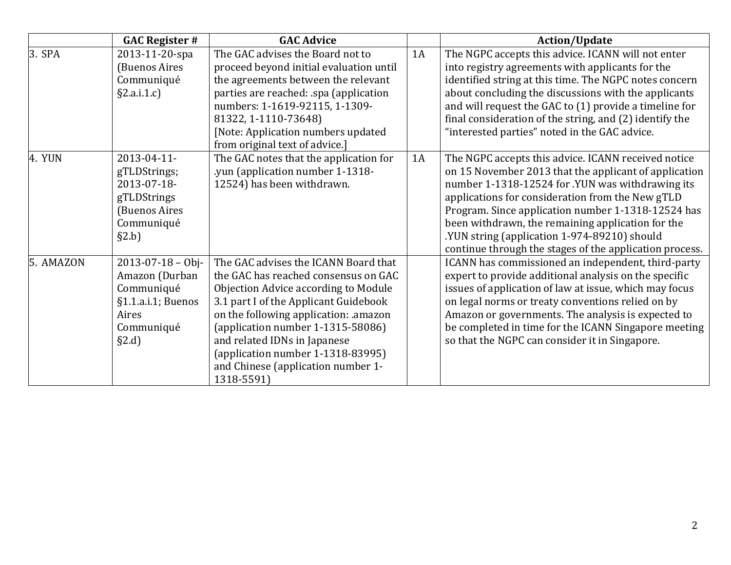|           | <b>GAC Register #</b>                                                                                            | <b>GAC Advice</b>                                                                                                                                                                                                                                                                                                                                                       |    | <b>Action/Update</b>                                                                                                                                                                                                                                                                                                                                                                                                                       |
|-----------|------------------------------------------------------------------------------------------------------------------|-------------------------------------------------------------------------------------------------------------------------------------------------------------------------------------------------------------------------------------------------------------------------------------------------------------------------------------------------------------------------|----|--------------------------------------------------------------------------------------------------------------------------------------------------------------------------------------------------------------------------------------------------------------------------------------------------------------------------------------------------------------------------------------------------------------------------------------------|
| $3.$ SPA  | 2013-11-20-spa<br>(Buenos Aires<br>Communiqué<br>§2.a.i.1.c]                                                     | The GAC advises the Board not to<br>proceed beyond initial evaluation until<br>the agreements between the relevant<br>parties are reached: .spa (application<br>numbers: 1-1619-92115, 1-1309-<br>81322, 1-1110-73648)<br>[Note: Application numbers updated<br>from original text of advice.]                                                                          | 1A | The NGPC accepts this advice. ICANN will not enter<br>into registry agreements with applicants for the<br>identified string at this time. The NGPC notes concern<br>about concluding the discussions with the applicants<br>and will request the GAC to (1) provide a timeline for<br>final consideration of the string, and (2) identify the<br>"interested parties" noted in the GAC advice.                                             |
| 4. YUN    | 2013-04-11-<br>gTLDStrings;<br>2013-07-18-<br>gTLDStrings<br>(Buenos Aires<br>Communiqué<br>§2.b]                | The GAC notes that the application for<br>.yun (application number 1-1318-<br>12524) has been withdrawn.                                                                                                                                                                                                                                                                | 1A | The NGPC accepts this advice. ICANN received notice<br>on 15 November 2013 that the applicant of application<br>number 1-1318-12524 for .YUN was withdrawing its<br>applications for consideration from the New gTLD<br>Program. Since application number 1-1318-12524 has<br>been withdrawn, the remaining application for the<br>.YUN string (application 1-974-89210) should<br>continue through the stages of the application process. |
| 5. AMAZON | $2013 - 07 - 18 - 0$ bj-<br>Amazon (Durban<br>Communiqué<br>§1.1.a.i.1; Buenos<br>Aires<br>Communiqué<br>$\S2.d$ | The GAC advises the ICANN Board that<br>the GAC has reached consensus on GAC<br>Objection Advice according to Module<br>3.1 part I of the Applicant Guidebook<br>on the following application: .amazon<br>(application number 1-1315-58086)<br>and related IDNs in Japanese<br>(application number $1-1318-83995$ )<br>and Chinese (application number 1-<br>1318-5591) |    | ICANN has commissioned an independent, third-party<br>expert to provide additional analysis on the specific<br>issues of application of law at issue, which may focus<br>on legal norms or treaty conventions relied on by<br>Amazon or governments. The analysis is expected to<br>be completed in time for the ICANN Singapore meeting<br>so that the NGPC can consider it in Singapore.                                                 |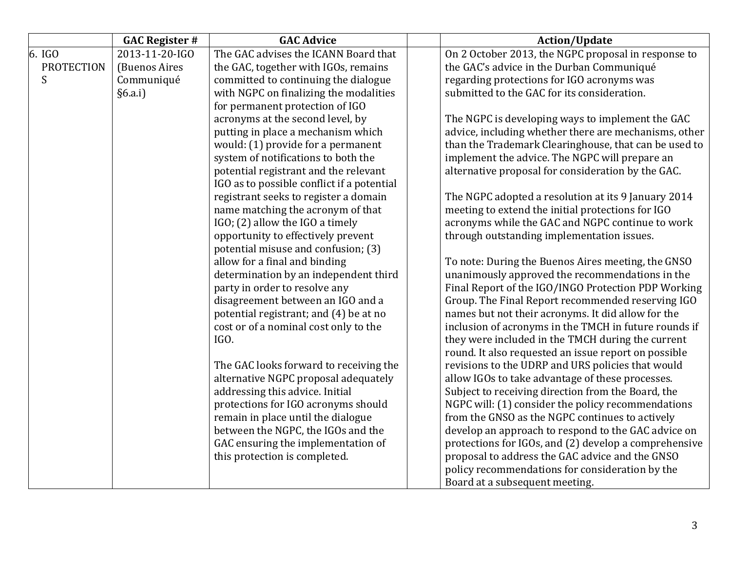|                   | <b>GAC Register #</b> | <b>GAC Advice</b>                          | <b>Action/Update</b>                                  |
|-------------------|-----------------------|--------------------------------------------|-------------------------------------------------------|
| 6. IGO            | 2013-11-20-IGO        | The GAC advises the ICANN Board that       | On 2 October 2013, the NGPC proposal in response to   |
| <b>PROTECTION</b> | (Buenos Aires         | the GAC, together with IGOs, remains       | the GAC's advice in the Durban Communiqué             |
| S                 | Communiqué            | committed to continuing the dialogue       | regarding protections for IGO acronyms was            |
|                   | §6.a.i]               | with NGPC on finalizing the modalities     | submitted to the GAC for its consideration.           |
|                   |                       | for permanent protection of IGO            |                                                       |
|                   |                       | acronyms at the second level, by           | The NGPC is developing ways to implement the GAC      |
|                   |                       | putting in place a mechanism which         | advice, including whether there are mechanisms, other |
|                   |                       | would: (1) provide for a permanent         | than the Trademark Clearinghouse, that can be used to |
|                   |                       | system of notifications to both the        | implement the advice. The NGPC will prepare an        |
|                   |                       | potential registrant and the relevant      | alternative proposal for consideration by the GAC.    |
|                   |                       | IGO as to possible conflict if a potential |                                                       |
|                   |                       | registrant seeks to register a domain      | The NGPC adopted a resolution at its 9 January 2014   |
|                   |                       | name matching the acronym of that          | meeting to extend the initial protections for IGO     |
|                   |                       | IGO; (2) allow the IGO a timely            | acronyms while the GAC and NGPC continue to work      |
|                   |                       | opportunity to effectively prevent         | through outstanding implementation issues.            |
|                   |                       | potential misuse and confusion; (3)        |                                                       |
|                   |                       | allow for a final and binding              | To note: During the Buenos Aires meeting, the GNSO    |
|                   |                       | determination by an independent third      | unanimously approved the recommendations in the       |
|                   |                       | party in order to resolve any              | Final Report of the IGO/INGO Protection PDP Working   |
|                   |                       | disagreement between an IGO and a          | Group. The Final Report recommended reserving IGO     |
|                   |                       | potential registrant; and (4) be at no     | names but not their acronyms. It did allow for the    |
|                   |                       | cost or of a nominal cost only to the      | inclusion of acronyms in the TMCH in future rounds if |
|                   |                       | IGO.                                       | they were included in the TMCH during the current     |
|                   |                       |                                            | round. It also requested an issue report on possible  |
|                   |                       | The GAC looks forward to receiving the     | revisions to the UDRP and URS policies that would     |
|                   |                       | alternative NGPC proposal adequately       | allow IGOs to take advantage of these processes.      |
|                   |                       | addressing this advice. Initial            | Subject to receiving direction from the Board, the    |
|                   |                       | protections for IGO acronyms should        | NGPC will: (1) consider the policy recommendations    |
|                   |                       | remain in place until the dialogue         | from the GNSO as the NGPC continues to actively       |
|                   |                       | between the NGPC, the IGOs and the         | develop an approach to respond to the GAC advice on   |
|                   |                       | GAC ensuring the implementation of         | protections for IGOs, and (2) develop a comprehensive |
|                   |                       | this protection is completed.              | proposal to address the GAC advice and the GNSO       |
|                   |                       |                                            | policy recommendations for consideration by the       |
|                   |                       |                                            | Board at a subsequent meeting.                        |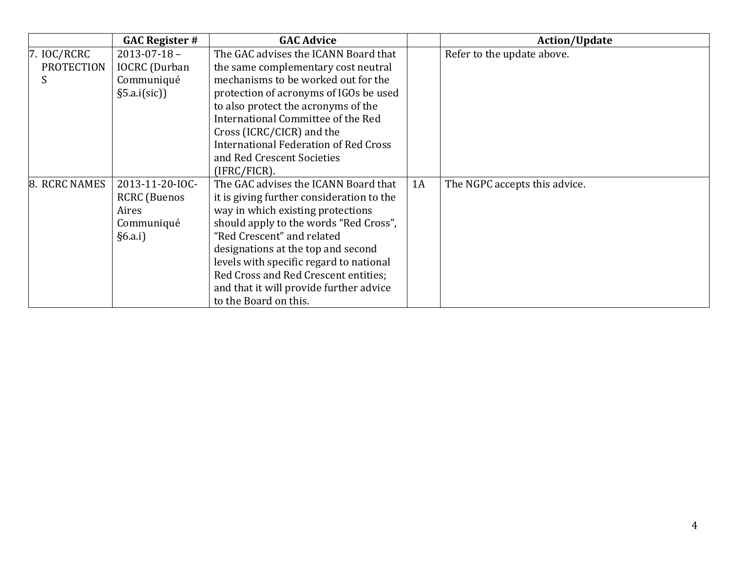|                   | <b>GAC Register #</b> | <b>GAC Advice</b>                            |    | <b>Action/Update</b>          |
|-------------------|-----------------------|----------------------------------------------|----|-------------------------------|
| 7.~IOC/RCRC       | $2013 - 07 - 18 -$    | The GAC advises the ICANN Board that         |    | Refer to the update above.    |
| <b>PROTECTION</b> | <b>IOCRC</b> (Durban  | the same complementary cost neutral          |    |                               |
|                   | Communiqué            | mechanisms to be worked out for the          |    |                               |
|                   | §5.a.i(sic)]          | protection of acronyms of IGOs be used       |    |                               |
|                   |                       | to also protect the acronyms of the          |    |                               |
|                   |                       | International Committee of the Red           |    |                               |
|                   |                       | Cross (ICRC/CICR) and the                    |    |                               |
|                   |                       | <b>International Federation of Red Cross</b> |    |                               |
|                   |                       | and Red Crescent Societies                   |    |                               |
|                   |                       | (IFRC/FICR).                                 |    |                               |
| 8. RCRC NAMES     | 2013-11-20-IOC-       | The GAC advises the ICANN Board that         | 1A | The NGPC accepts this advice. |
|                   | <b>RCRC</b> (Buenos   | it is giving further consideration to the    |    |                               |
|                   | Aires                 | way in which existing protections            |    |                               |
|                   | Communiqué            | should apply to the words "Red Cross",       |    |                               |
|                   | §6.a.i]               | "Red Crescent" and related                   |    |                               |
|                   |                       | designations at the top and second           |    |                               |
|                   |                       | levels with specific regard to national      |    |                               |
|                   |                       | Red Cross and Red Crescent entities;         |    |                               |
|                   |                       | and that it will provide further advice      |    |                               |
|                   |                       | to the Board on this.                        |    |                               |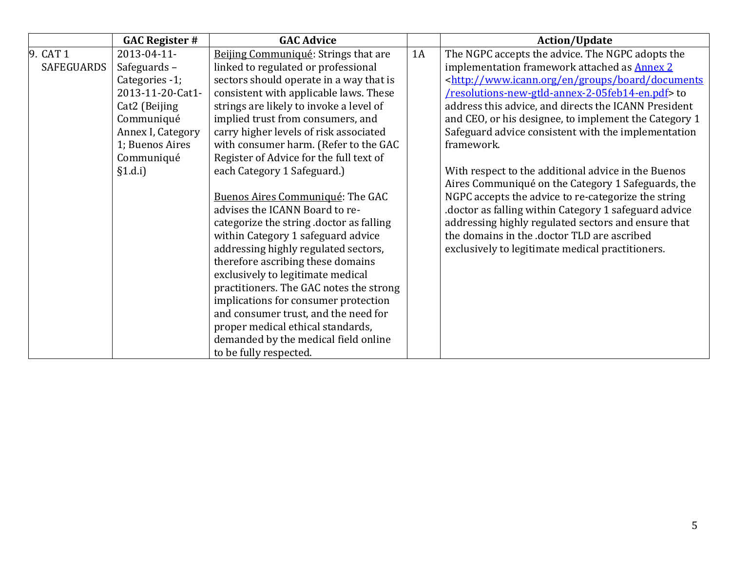|                   | <b>GAC Register #</b> | <b>GAC Advice</b>                       |    | <b>Action/Update</b>                                                          |
|-------------------|-----------------------|-----------------------------------------|----|-------------------------------------------------------------------------------|
| 9. CAT 1          | 2013-04-11-           | Beijing Communiqué: Strings that are    | 1A | The NGPC accepts the advice. The NGPC adopts the                              |
| <b>SAFEGUARDS</b> | Safeguards-           | linked to regulated or professional     |    | implementation framework attached as Annex 2                                  |
|                   | Categories -1;        | sectors should operate in a way that is |    | <http: board="" documents<="" en="" groups="" td="" www.icann.org=""></http:> |
|                   | 2013-11-20-Cat1-      | consistent with applicable laws. These  |    | /resolutions-new-gtld-annex-2-05feb14-en.pdf> to                              |
|                   | Cat2 (Beijing         | strings are likely to invoke a level of |    | address this advice, and directs the ICANN President                          |
|                   | Communiqué            | implied trust from consumers, and       |    | and CEO, or his designee, to implement the Category 1                         |
|                   | Annex I, Category     | carry higher levels of risk associated  |    | Safeguard advice consistent with the implementation                           |
|                   | 1; Buenos Aires       | with consumer harm. (Refer to the GAC   |    | framework.                                                                    |
|                   | Communiqué            | Register of Advice for the full text of |    |                                                                               |
|                   | §1.d.i]               | each Category 1 Safeguard.)             |    | With respect to the additional advice in the Buenos                           |
|                   |                       |                                         |    | Aires Communiqué on the Category 1 Safeguards, the                            |
|                   |                       | Buenos Aires Communiqué: The GAC        |    | NGPC accepts the advice to re-categorize the string                           |
|                   |                       | advises the ICANN Board to re-          |    | doctor as falling within Category 1 safeguard advice                          |
|                   |                       | categorize the string doctor as falling |    | addressing highly regulated sectors and ensure that                           |
|                   |                       | within Category 1 safeguard advice      |    | the domains in the .doctor TLD are ascribed                                   |
|                   |                       | addressing highly regulated sectors,    |    | exclusively to legitimate medical practitioners.                              |
|                   |                       | therefore ascribing these domains       |    |                                                                               |
|                   |                       | exclusively to legitimate medical       |    |                                                                               |
|                   |                       | practitioners. The GAC notes the strong |    |                                                                               |
|                   |                       | implications for consumer protection    |    |                                                                               |
|                   |                       | and consumer trust, and the need for    |    |                                                                               |
|                   |                       | proper medical ethical standards,       |    |                                                                               |
|                   |                       | demanded by the medical field online    |    |                                                                               |
|                   |                       | to be fully respected.                  |    |                                                                               |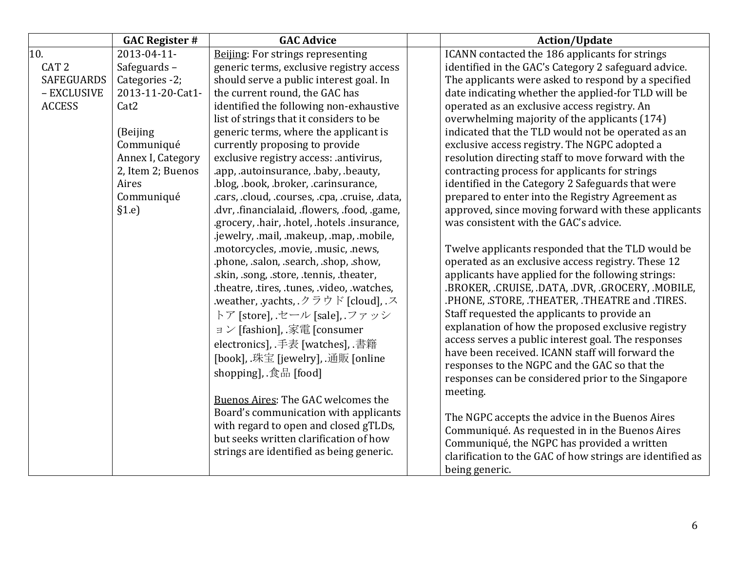|                   | <b>GAC Register #</b> | <b>GAC Advice</b>                                                         | <b>Action/Update</b>                                                                           |
|-------------------|-----------------------|---------------------------------------------------------------------------|------------------------------------------------------------------------------------------------|
| 10.               | 2013-04-11-           | Beijing: For strings representing                                         | ICANN contacted the 186 applicants for strings                                                 |
| CAT <sub>2</sub>  | Safeguards-           | generic terms, exclusive registry access                                  | identified in the GAC's Category 2 safeguard advice.                                           |
| <b>SAFEGUARDS</b> | Categories -2;        | should serve a public interest goal. In                                   | The applicants were asked to respond by a specified                                            |
| - EXCLUSIVE       | 2013-11-20-Cat1-      | the current round, the GAC has                                            | date indicating whether the applied-for TLD will be                                            |
| <b>ACCESS</b>     | Cat <sub>2</sub>      | identified the following non-exhaustive                                   | operated as an exclusive access registry. An                                                   |
|                   |                       | list of strings that it considers to be                                   | overwhelming majority of the applicants (174)                                                  |
|                   | (Beijing              | generic terms, where the applicant is                                     | indicated that the TLD would not be operated as an                                             |
|                   | Communiqué            | currently proposing to provide                                            | exclusive access registry. The NGPC adopted a                                                  |
|                   | Annex I, Category     | exclusive registry access: .antivirus,                                    | resolution directing staff to move forward with the                                            |
|                   | 2, Item 2; Buenos     | .app, .autoinsurance, .baby, .beauty,                                     | contracting process for applicants for strings                                                 |
|                   | Aires                 | .blog, .book, .broker, .carinsurance,                                     | identified in the Category 2 Safeguards that were                                              |
|                   | Communiqué            | .cars, .cloud, .courses, .cpa, .cruise, .data,                            | prepared to enter into the Registry Agreement as                                               |
|                   | §1.e]                 | .dvr, .financialaid, .flowers, .food, .game,                              | approved, since moving forward with these applicants                                           |
|                   |                       | .grocery, .hair, .hotel, .hotels .insurance,                              | was consistent with the GAC's advice.                                                          |
|                   |                       | .jewelry, .mail, .makeup, .map, .mobile,                                  |                                                                                                |
|                   |                       | .motorcycles, .movie, .music, .news,                                      | Twelve applicants responded that the TLD would be                                              |
|                   |                       | .phone, .salon, .search, .shop, .show,                                    | operated as an exclusive access registry. These 12                                             |
|                   |                       | .skin, song, store, tennis, theater,                                      | applicants have applied for the following strings:                                             |
|                   |                       | .theatre, .tires, .tunes, .video, .watches,                               | .BROKER, .CRUISE, .DATA, .DVR, .GROCERY, .MOBILE,                                              |
|                   |                       | .weather, yachts, $\mathcal{P} \ni \mathcal{P}$ is [cloud], $\mathcal{P}$ | .PHONE, .STORE, .THEATER, .THEATRE and .TIRES.                                                 |
|                   |                       | トア [store], セール [sale], ファッシ                                              | Staff requested the applicants to provide an                                                   |
|                   |                       | ョン [fashion], 家電 [consumer                                                | explanation of how the proposed exclusive registry                                             |
|                   |                       | electronics], 手表 [watches], 書籍                                            | access serves a public interest goal. The responses                                            |
|                   |                       | [book], 珠宝 [jewelry], 通販 [online                                          | have been received. ICANN staff will forward the                                               |
|                   |                       | shopping], 食品 [food]                                                      | responses to the NGPC and the GAC so that the                                                  |
|                   |                       |                                                                           | responses can be considered prior to the Singapore                                             |
|                   |                       | <b>Buenos Aires: The GAC welcomes the</b>                                 | meeting.                                                                                       |
|                   |                       | Board's communication with applicants                                     |                                                                                                |
|                   |                       | with regard to open and closed gTLDs,                                     | The NGPC accepts the advice in the Buenos Aires                                                |
|                   |                       | but seeks written clarification of how                                    | Communiqué. As requested in in the Buenos Aires<br>Communiqué, the NGPC has provided a written |
|                   |                       | strings are identified as being generic.                                  |                                                                                                |
|                   |                       |                                                                           | clarification to the GAC of how strings are identified as                                      |
|                   |                       |                                                                           | being generic.                                                                                 |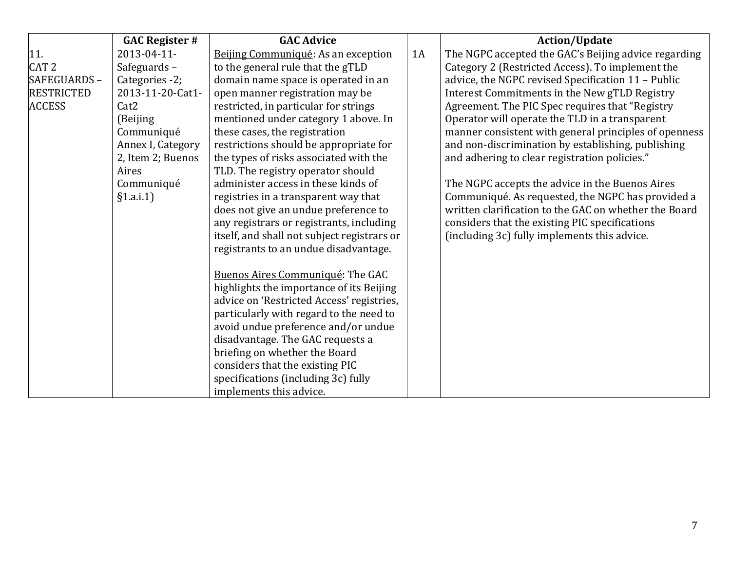|                   | <b>GAC Register #</b> | <b>GAC Advice</b>                           |    | <b>Action/Update</b>                                  |
|-------------------|-----------------------|---------------------------------------------|----|-------------------------------------------------------|
| 11.               | 2013-04-11-           | Beijing Communiqué: As an exception         | 1A | The NGPC accepted the GAC's Beijing advice regarding  |
| CAT <sub>2</sub>  | Safeguards-           | to the general rule that the gTLD           |    | Category 2 (Restricted Access). To implement the      |
| SAFEGUARDS -      | Categories -2;        | domain name space is operated in an         |    | advice, the NGPC revised Specification 11 - Public    |
| <b>RESTRICTED</b> | 2013-11-20-Cat1-      | open manner registration may be             |    | Interest Commitments in the New gTLD Registry         |
| <b>ACCESS</b>     | Cat <sub>2</sub>      | restricted, in particular for strings       |    | Agreement. The PIC Spec requires that "Registry       |
|                   | (Beijing              | mentioned under category 1 above. In        |    | Operator will operate the TLD in a transparent        |
|                   | Communiqué            | these cases, the registration               |    | manner consistent with general principles of openness |
|                   | Annex I, Category     | restrictions should be appropriate for      |    | and non-discrimination by establishing, publishing    |
|                   | 2, Item 2; Buenos     | the types of risks associated with the      |    | and adhering to clear registration policies."         |
|                   | Aires                 | TLD. The registry operator should           |    |                                                       |
|                   | Communiqué            | administer access in these kinds of         |    | The NGPC accepts the advice in the Buenos Aires       |
|                   | §1.a.i.1]             | registries in a transparent way that        |    | Communiqué. As requested, the NGPC has provided a     |
|                   |                       | does not give an undue preference to        |    | written clarification to the GAC on whether the Board |
|                   |                       | any registrars or registrants, including    |    | considers that the existing PIC specifications        |
|                   |                       | itself, and shall not subject registrars or |    | (including 3c) fully implements this advice.          |
|                   |                       | registrants to an undue disadvantage.       |    |                                                       |
|                   |                       |                                             |    |                                                       |
|                   |                       | Buenos Aires Communiqué: The GAC            |    |                                                       |
|                   |                       | highlights the importance of its Beijing    |    |                                                       |
|                   |                       | advice on 'Restricted Access' registries,   |    |                                                       |
|                   |                       | particularly with regard to the need to     |    |                                                       |
|                   |                       | avoid undue preference and/or undue         |    |                                                       |
|                   |                       | disadvantage. The GAC requests a            |    |                                                       |
|                   |                       | briefing on whether the Board               |    |                                                       |
|                   |                       | considers that the existing PIC             |    |                                                       |
|                   |                       | specifications (including 3c) fully         |    |                                                       |
|                   |                       | implements this advice.                     |    |                                                       |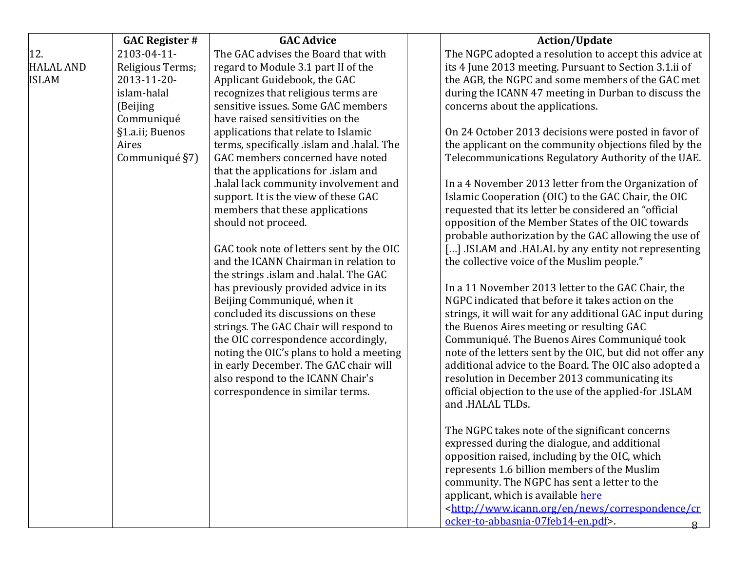|                  | <b>GAC Register #</b> | <b>GAC Advice</b>                          | <b>Action/Update</b>                                                          |
|------------------|-----------------------|--------------------------------------------|-------------------------------------------------------------------------------|
| 12.              | 2103-04-11-           | The GAC advises the Board that with        | The NGPC adopted a resolution to accept this advice at                        |
| <b>HALAL AND</b> | Religious Terms;      | regard to Module 3.1 part II of the        | its 4 June 2013 meeting. Pursuant to Section 3.1.ii of                        |
| <b>ISLAM</b>     | 2013-11-20-           | Applicant Guidebook, the GAC               | the AGB, the NGPC and some members of the GAC met                             |
|                  | islam-halal           | recognizes that religious terms are        | during the ICANN 47 meeting in Durban to discuss the                          |
|                  | (Beijing              | sensitive issues. Some GAC members         | concerns about the applications.                                              |
|                  | Communiqué            | have raised sensitivities on the           |                                                                               |
|                  | §1.a.ii; Buenos       | applications that relate to Islamic        | On 24 October 2013 decisions were posted in favor of                          |
|                  | Aires                 | terms, specifically .islam and .halal. The | the applicant on the community objections filed by the                        |
|                  | Communiqué §7)        | GAC members concerned have noted           | Telecommunications Regulatory Authority of the UAE.                           |
|                  |                       | that the applications for .islam and       |                                                                               |
|                  |                       | halal lack community involvement and       | In a 4 November 2013 letter from the Organization of                          |
|                  |                       | support. It is the view of these GAC       | Islamic Cooperation (OIC) to the GAC Chair, the OIC                           |
|                  |                       | members that these applications            | requested that its letter be considered an "official                          |
|                  |                       | should not proceed.                        | opposition of the Member States of the OIC towards                            |
|                  |                       |                                            | probable authorization by the GAC allowing the use of                         |
|                  |                       | GAC took note of letters sent by the OIC   | [] ISLAM and .HALAL by any entity not representing                            |
|                  |                       | and the ICANN Chairman in relation to      | the collective voice of the Muslim people."                                   |
|                  |                       | the strings .islam and .halal. The GAC     |                                                                               |
|                  |                       | has previously provided advice in its      | In a 11 November 2013 letter to the GAC Chair, the                            |
|                  |                       | Beijing Communiqué, when it                | NGPC indicated that before it takes action on the                             |
|                  |                       | concluded its discussions on these         | strings, it will wait for any additional GAC input during                     |
|                  |                       | strings. The GAC Chair will respond to     | the Buenos Aires meeting or resulting GAC                                     |
|                  |                       | the OIC correspondence accordingly,        | Communiqué. The Buenos Aires Communiqué took                                  |
|                  |                       | noting the OIC's plans to hold a meeting   | note of the letters sent by the OIC, but did not offer any                    |
|                  |                       | in early December. The GAC chair will      | additional advice to the Board. The OIC also adopted a                        |
|                  |                       | also respond to the ICANN Chair's          | resolution in December 2013 communicating its                                 |
|                  |                       | correspondence in similar terms.           | official objection to the use of the applied-for .ISLAM<br>and .HALAL TLDs.   |
|                  |                       |                                            |                                                                               |
|                  |                       |                                            | The NGPC takes note of the significant concerns                               |
|                  |                       |                                            | expressed during the dialogue, and additional                                 |
|                  |                       |                                            | opposition raised, including by the OIC, which                                |
|                  |                       |                                            | represents 1.6 billion members of the Muslim                                  |
|                  |                       |                                            | community. The NGPC has sent a letter to the                                  |
|                  |                       |                                            | applicant, which is available here                                            |
|                  |                       |                                            | <http: correspondence="" cr<="" en="" news="" td="" www.icann.org=""></http:> |
|                  |                       |                                            | ocker-to-abbasnia-07feb14-en.pdf>.                                            |